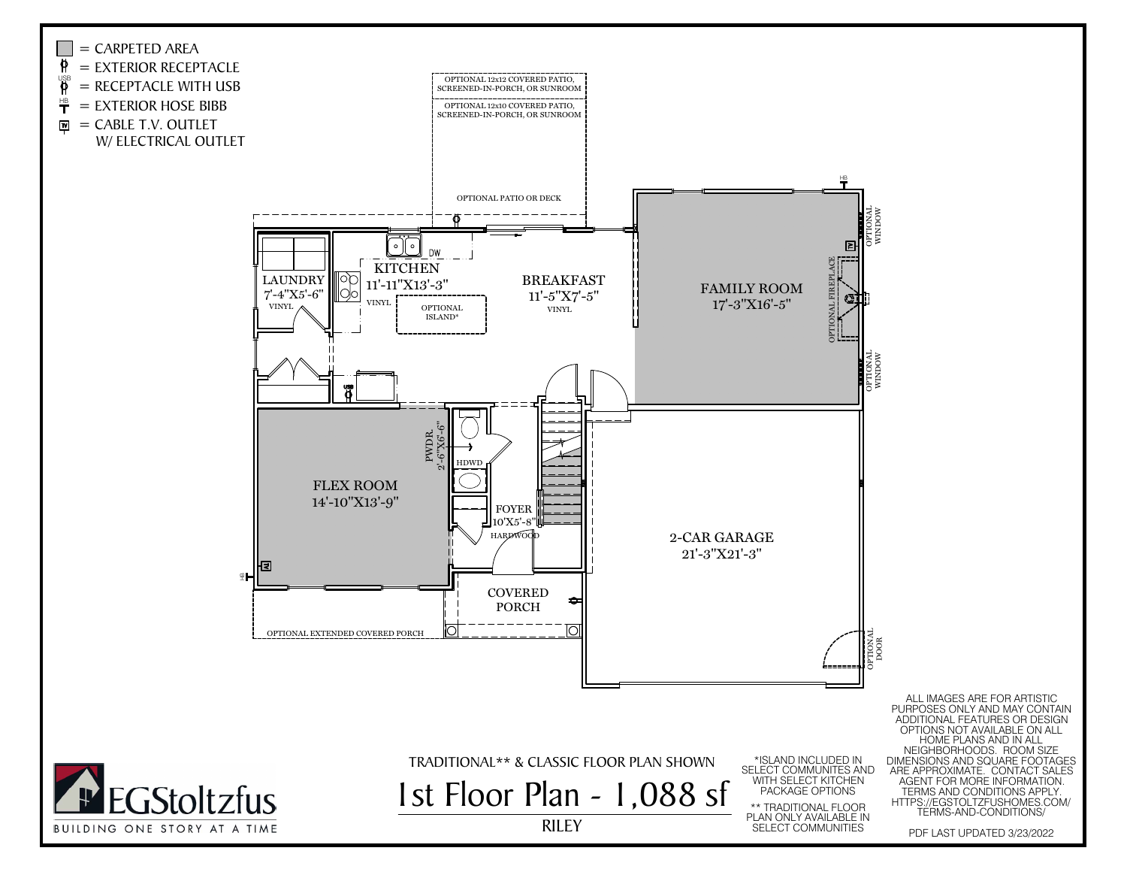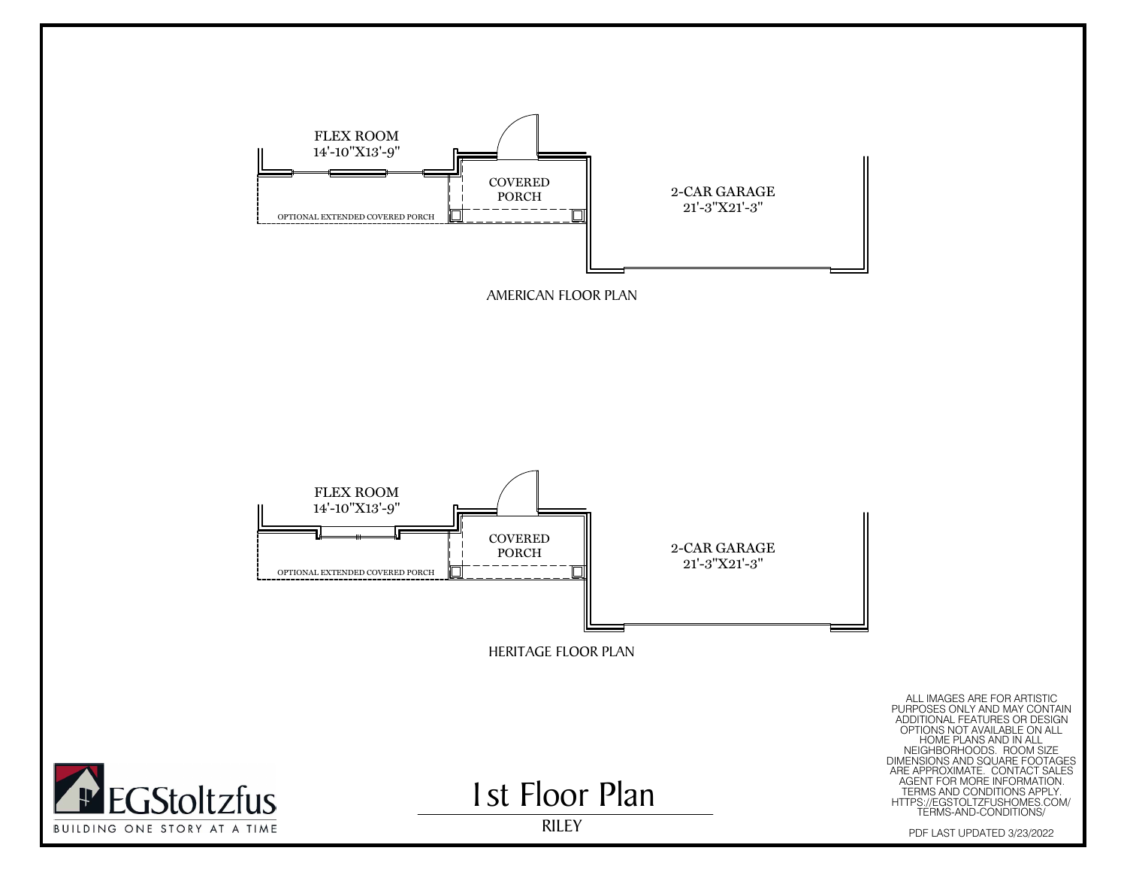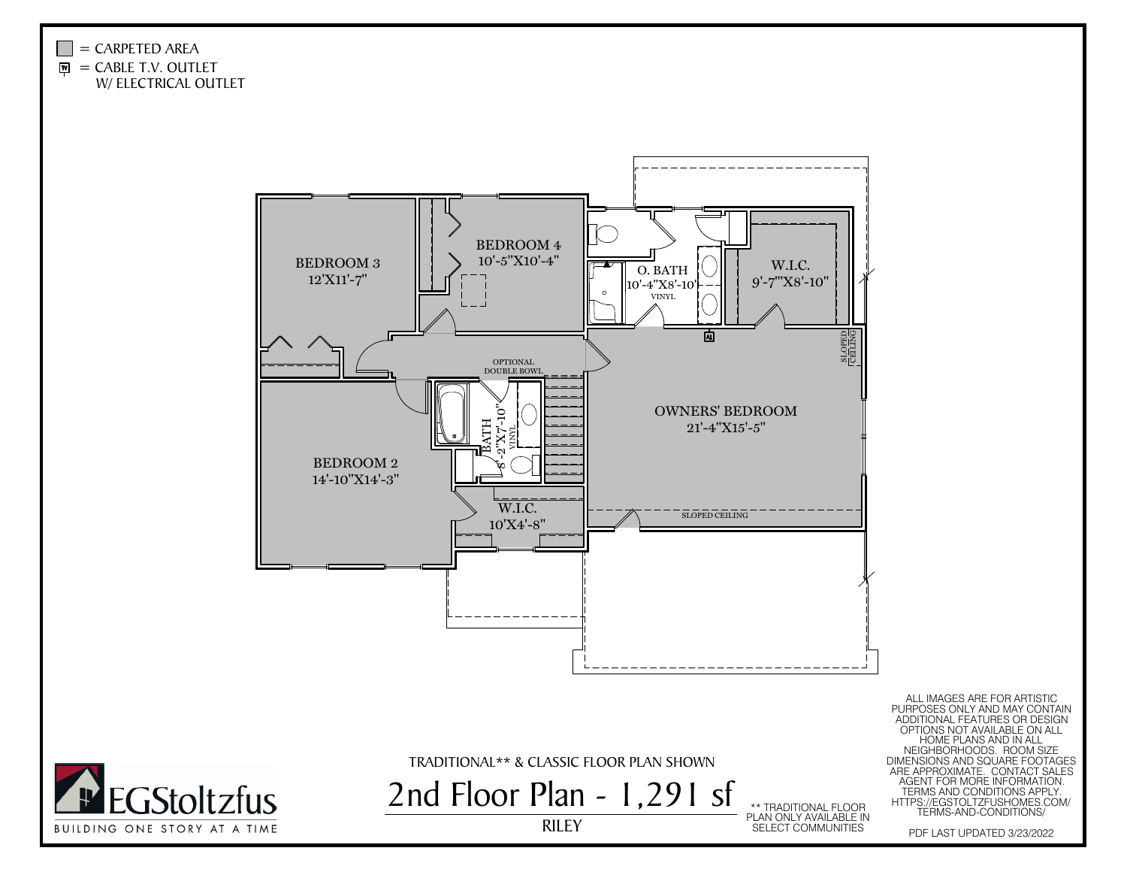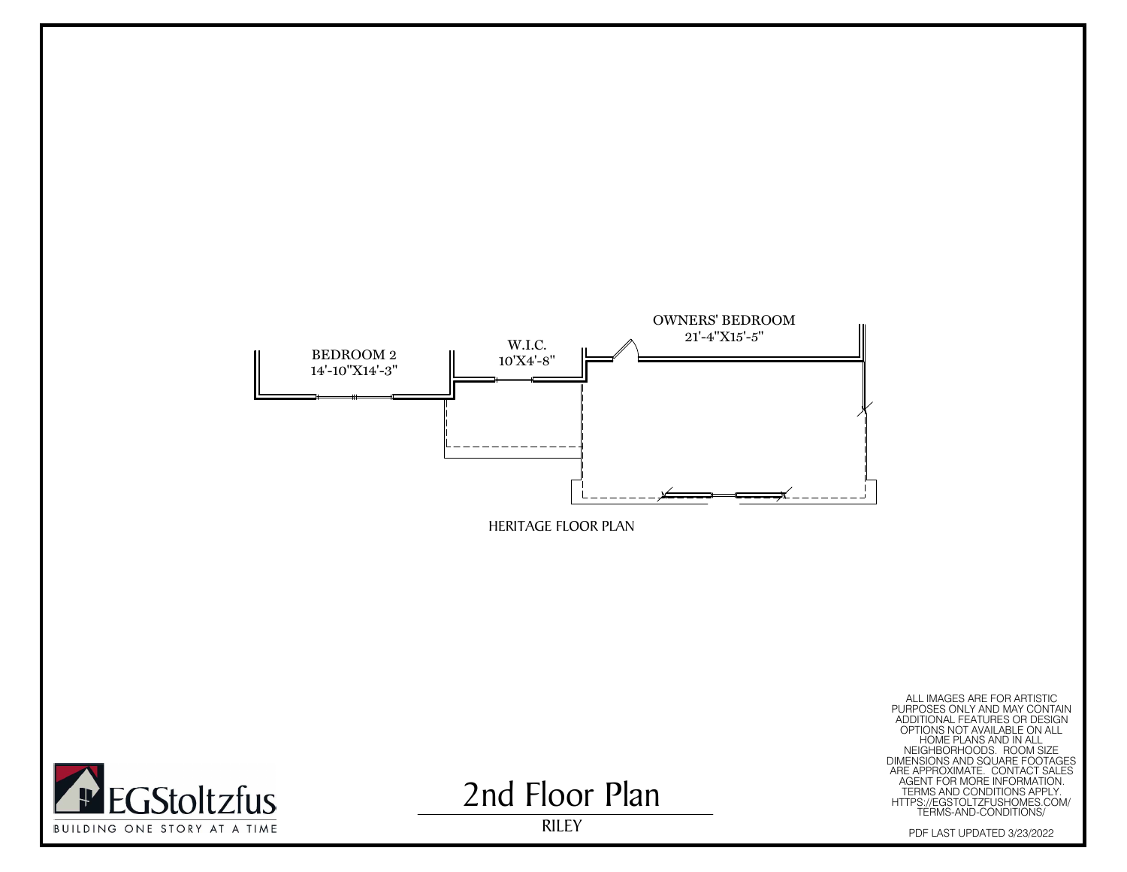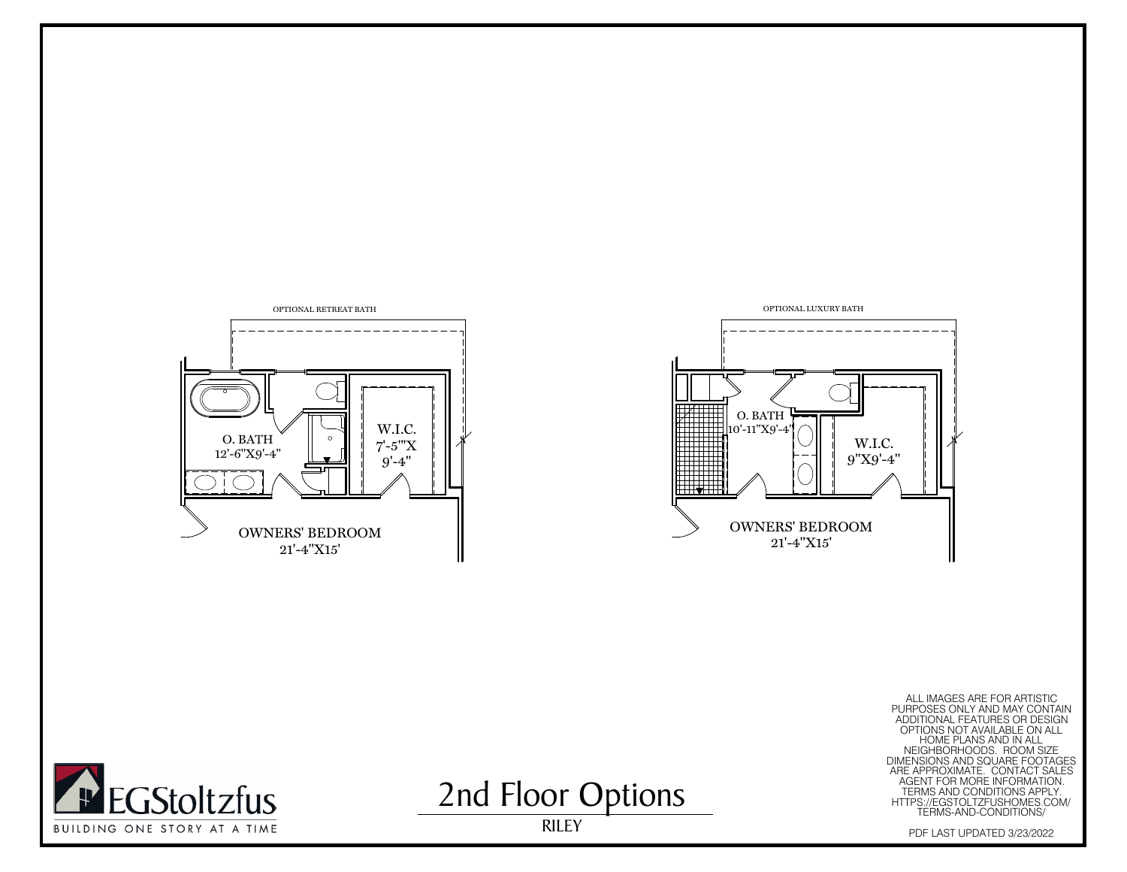





ALL MAGES ARE FOR ARTISTIC<br>
MAGES ONLY AND MAY CONTAIN<br>
ADDITIONAL FEATURES OR DESIGN<br>
MEIGHBORHOODS. ROOM SIZE<br>
MEIGHBORHOODS. ROOM SIZE<br>
MEIGHBORHOODS. ROOM SIZE<br>
MEIGHBORHOODS. ROOM SIZE<br>
ARE APPROXIMATE. CONTACT SALES<br>



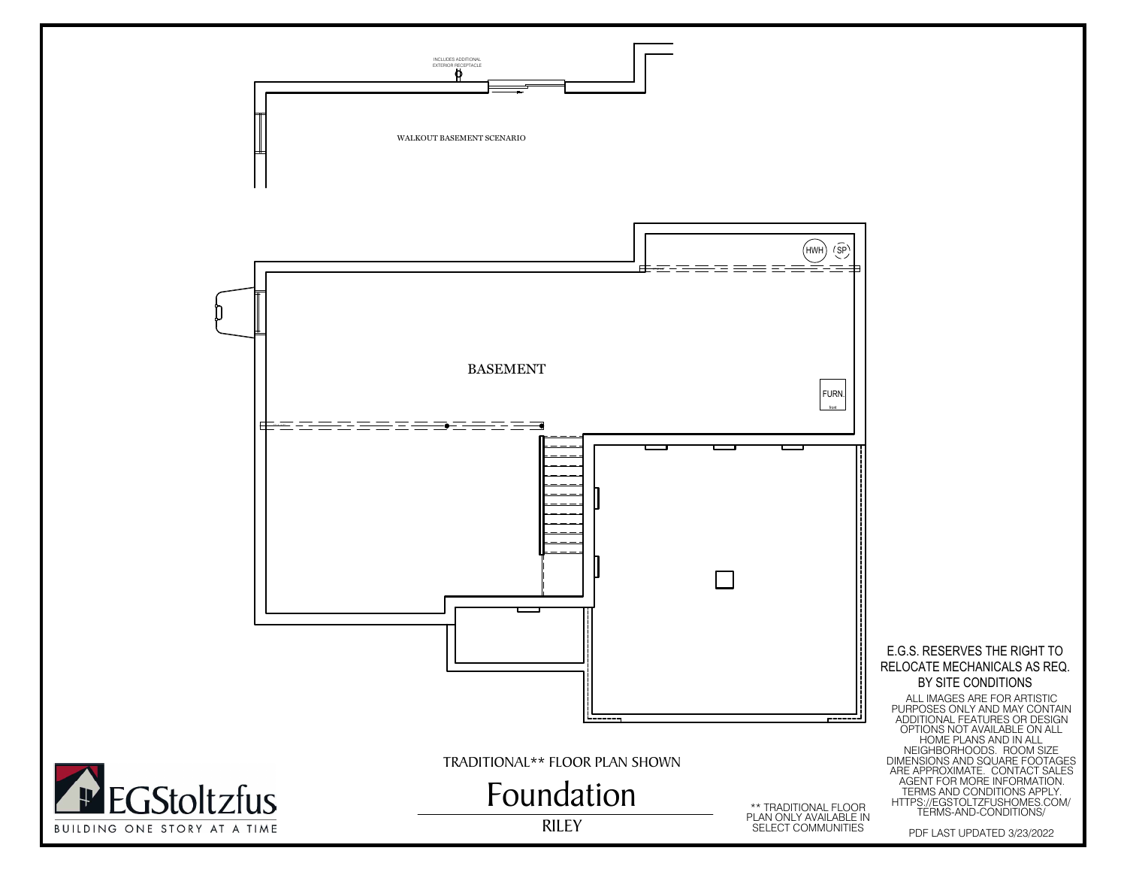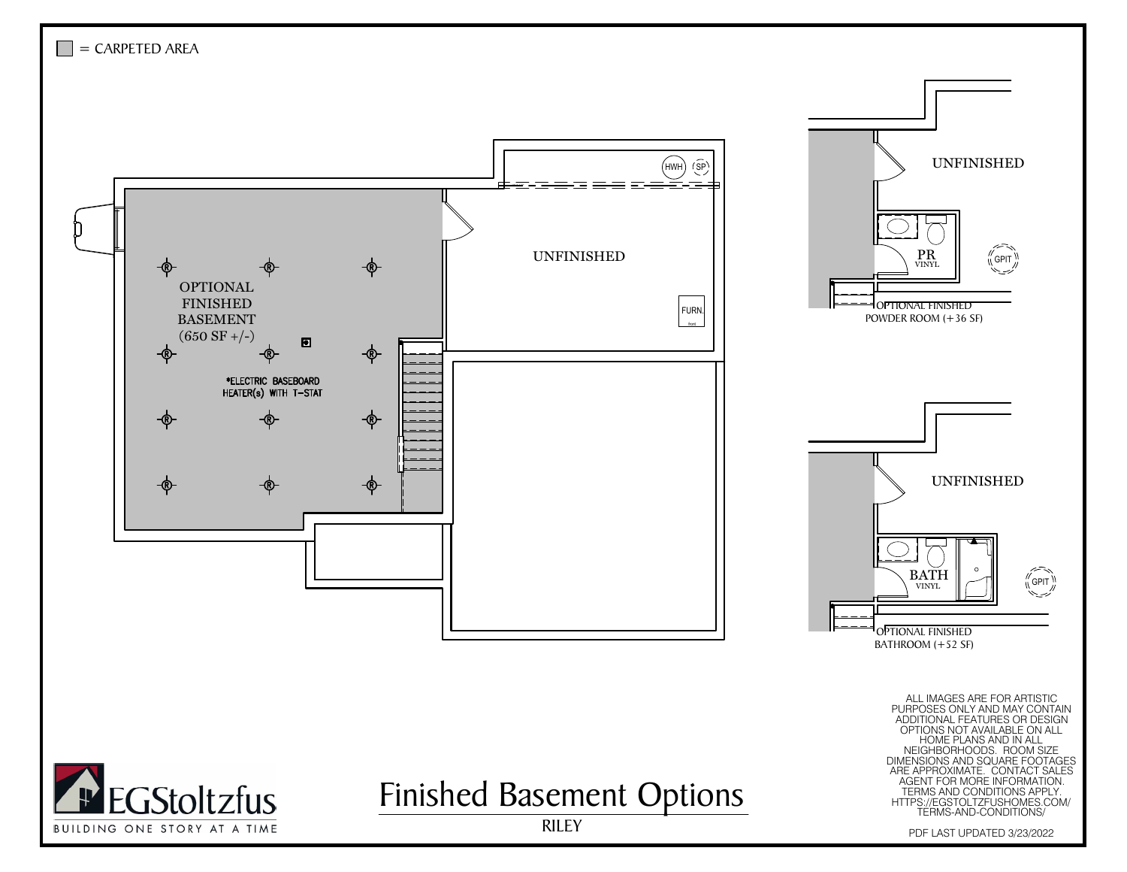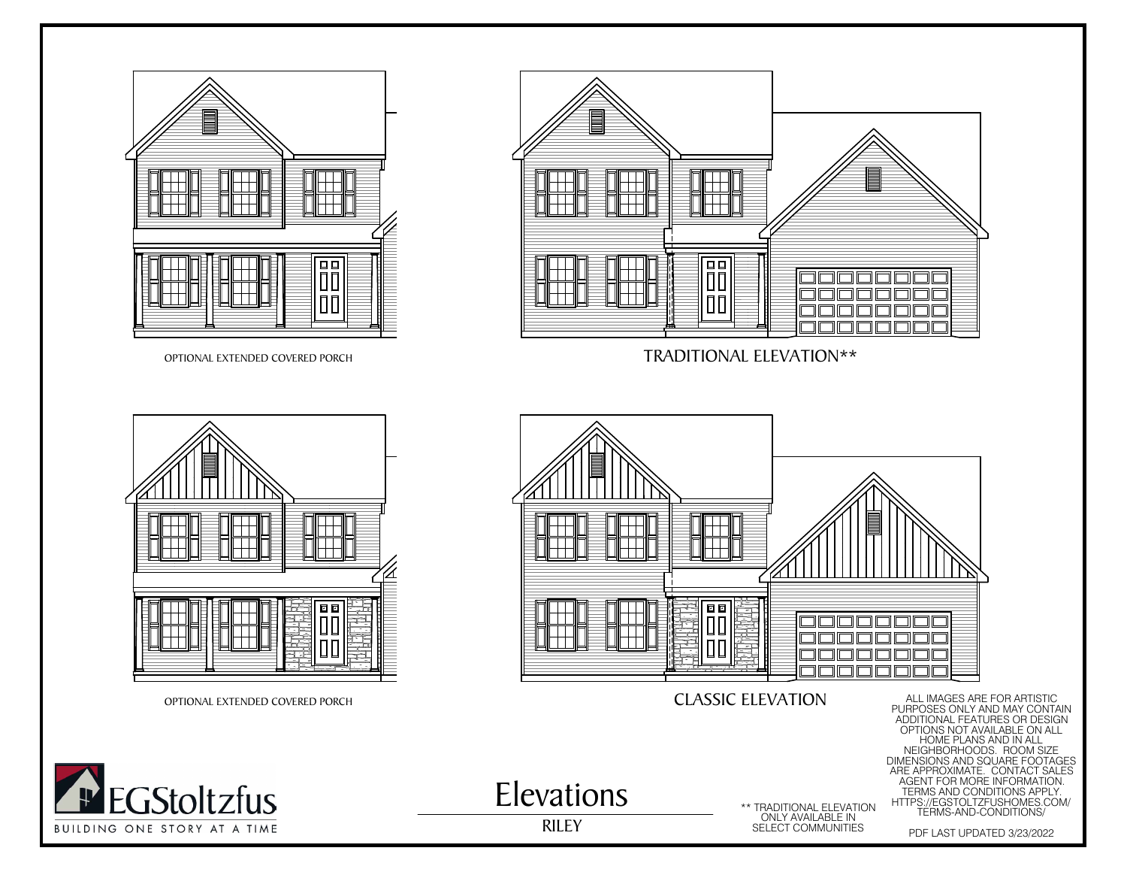







**THE** 

Elevations